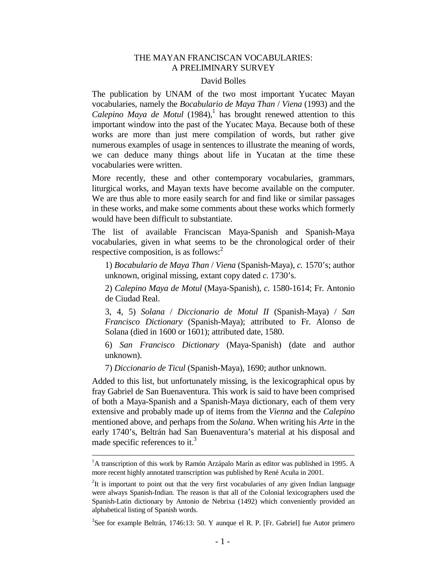## THE MAYAN FRANCISCAN VOCABULARIES: A PRELIMINARY SURVEY

## David Bolles

The publication by UNAM of the two most important Yucatec Mayan vocabularies, namely the *Bocabulario de Maya Than* / *Viena* (1993) and the *Calepino Maya de Motul* (1984),<sup>1</sup> has brought renewed attention to this important window into the past of the Yucatec Maya. Because both of these works are more than just mere compilation of words, but rather give numerous examples of usage in sentences to illustrate the meaning of words, we can deduce many things about life in Yucatan at the time these vocabularies were written.

More recently, these and other contemporary vocabularies, grammars, liturgical works, and Mayan texts have become available on the computer. We are thus able to more easily search for and find like or similar passages in these works, and make some comments about these works which formerly would have been difficult to substantiate.

The list of available Franciscan Maya-Spanish and Spanish-Maya vocabularies, given in what seems to be the chronological order of their respective composition, is as follows: $<sup>2</sup>$ </sup>

 1) *Bocabulario de Maya Than* / *Viena* (Spanish-Maya), *c.* 1570's; author unknown, original missing, extant copy dated *c.* 1730's.

 2) *Calepino Maya de Motul* (Maya-Spanish), *c.* 1580-1614; Fr. Antonio de Ciudad Real.

 3, 4, 5) *Solana* / *Diccionario de Motul II* (Spanish-Maya) / *San Francisco Dictionary* (Spanish-Maya); attributed to Fr. Alonso de Solana (died in 1600 or 1601); attributed date, 1580.

 6) *San Francisco Dictionary* (Maya-Spanish) (date and author unknown).

7) *Diccionario de Ticul* (Spanish-Maya), 1690; author unknown.

Added to this list, but unfortunately missing, is the lexicographical opus by fray Gabriel de San Buenaventura. This work is said to have been comprised of both a Maya-Spanish and a Spanish-Maya dictionary, each of them very extensive and probably made up of items from the *Vienna* and the *Calepino* mentioned above, and perhaps from the *Solana*. When writing his *Arte* in the early 1740's, Beltrán had San Buenaventura's material at his disposal and made specific references to it.<sup>3</sup>

÷,

 $<sup>1</sup>A$  transcription of this work by Ramón Arzápalo Marín as editor was published in 1995. A</sup> more recent highly annotated transcription was published by René Acuña in 2001.

 $2$ It is important to point out that the very first vocabularies of any given Indian language were always Spanish-Indian. The reason is that all of the Colonial lexicographers used the Spanish-Latin dictionary by Antonio de Nebrixa (1492) which conveniently provided an alphabetical listing of Spanish words.

 $3$ See for example Beltrán, 1746:13: 50. Y aunque el R. P. [Fr. Gabriel] fue Autor primero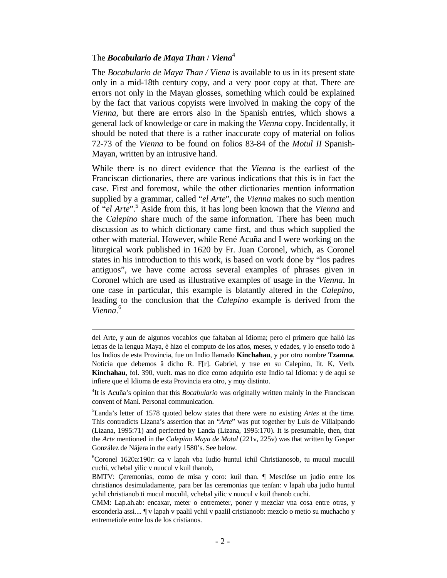# The *Bocabulario de Maya Than* / *Viena*<sup>4</sup>

 $\overline{\phantom{0}}$ 

The *Bocabulario de Maya Than / Viena* is available to us in its present state only in a mid-18th century copy, and a very poor copy at that. There are errors not only in the Mayan glosses, something which could be explained by the fact that various copyists were involved in making the copy of the *Vienna*, but there are errors also in the Spanish entries, which shows a general lack of knowledge or care in making the *Vienna* copy. Incidentally, it should be noted that there is a rather inaccurate copy of material on folios 72-73 of the *Vienna* to be found on folios 83-84 of the *Motul II* Spanish-Mayan, written by an intrusive hand.

While there is no direct evidence that the *Vienna* is the earliest of the Franciscan dictionaries, there are various indications that this is in fact the case. First and foremost, while the other dictionaries mention information supplied by a grammar, called "*el Arte*", the *Vienna* makes no such mention of "*el Arte*".<sup>5</sup> Aside from this, it has long been known that the *Vienna* and the *Calepino* share much of the same information. There has been much discussion as to which dictionary came first, and thus which supplied the other with material. However, while René Acuña and I were working on the liturgical work published in 1620 by Fr. Juan Coronel, which, as Coronel states in his introduction to this work, is based on work done by "los padres antiguos", we have come across several examples of phrases given in Coronel which are used as illustrative examples of usage in the *Vienna*. In one case in particular, this example is blatantly altered in the *Calepino*, leading to the conclusion that the *Calepino* example is derived from the *Vienna*. 6

del Arte, y aun de algunos vocablos que faltaban al Idioma; pero el primero que hallò las letras de la lengua Maya, è hizo el computo de los años, meses, y edades, y lo enseño todo à los Indios de esta Provincia, fue un Indio llamado **Kinchahau**, y por otro nombre **Tzamna**. Noticia que debemos â dicho R. F[r]. Gabriel, y trae en su Calepino, lit. K, Verb. **Kinchahau**, fol. 390, vuelt. mas no dice como adquirio este Indio tal Idioma: y de aqui se infiere que el Idioma de esta Provincia era otro, y muy distinto.

<sup>4</sup> It is Acuña's opinion that this *Bocabulario* was originally written mainly in the Franciscan convent of Maní. Personal communication.

<sup>5</sup>Landa's letter of 1578 quoted below states that there were no existing *Artes* at the time. This contradicts Lizana's assertion that an "*Arte*" was put together by Luis de Villalpando (Lizana, 1995:71) and perfected by Landa (Lizana, 1995:170). It is presumable, then, that the *Arte* mentioned in the *Calepino Maya de Motul* (221v, 225v) was that written by Gaspar González de Nájera in the early 1580's. See below.

<sup>6</sup>Coronel 1620a:190r: ca v lapah vba Iudio huntul ichil Christianosob, tu mucul muculil cuchi, vchebal yilic v nuucul v kuil thanob,

BMTV: Çeremonias, como de misa y coro: kuil than. ¶ Mesclóse un judío entre los christianos desimuladamente, para ber las ceremonias que tenían: v lapah uba judio huntul ychil christianob ti mucul muculil, vchebal yilic v nuucul v kuil thanob cuchi.

CMM: Lap.ah.ab: encaxar, meter o entremeter, poner y mezclar vna cosa entre otras, y esconderla assi.... ¶ v lapah v paalil ychil v paalil cristianoob: mezclo o metio su muchacho y entremetiole entre los de los cristianos.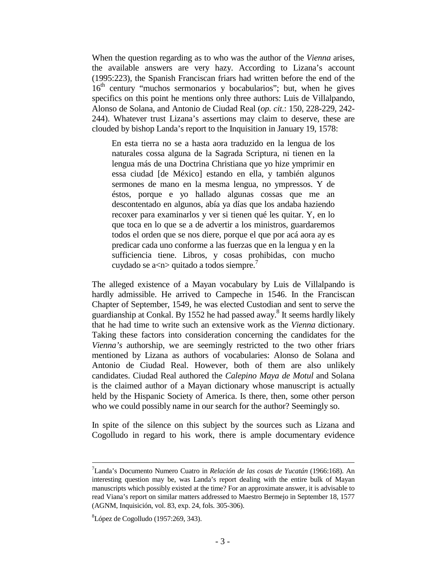When the question regarding as to who was the author of the *Vienna* arises, the available answers are very hazy. According to Lizana's account (1995:223), the Spanish Franciscan friars had written before the end of the  $16<sup>th</sup>$  century "muchos sermonarios y bocabularios"; but, when he gives specifics on this point he mentions only three authors: Luis de Villalpando, Alonso de Solana, and Antonio de Ciudad Real (*op. cit.*: 150, 228-229, 242- 244). Whatever trust Lizana's assertions may claim to deserve, these are clouded by bishop Landa's report to the Inquisition in January 19, 1578:

 En esta tierra no se a hasta aora traduzido en la lengua de los naturales cossa alguna de la Sagrada Scriptura, ni tienen en la lengua más de una Doctrina Christiana que yo hize ymprimir en essa ciudad [de México] estando en ella, y también algunos sermones de mano en la mesma lengua, no ympressos. Y de éstos, porque e yo hallado algunas cossas que me an descontentado en algunos, abía ya días que los andaba haziendo recoxer para examinarlos y ver si tienen qué les quitar. Y, en lo que toca en lo que se a de advertir a los ministros, guardaremos todos el orden que se nos diere, porque el que por acá aora ay es predicar cada uno conforme a las fuerzas que en la lengua y en la sufficiencia tiene. Libros, y cosas prohibidas, con mucho cuydado se a $\langle n \rangle$  quitado a todos siempre.<sup>7</sup>

The alleged existence of a Mayan vocabulary by Luis de Villalpando is hardly admissible. He arrived to Campeche in 1546. In the Franciscan Chapter of September, 1549, he was elected Custodian and sent to serve the guardianship at Conkal. By 1552 he had passed away.<sup>8</sup> It seems hardly likely that he had time to write such an extensive work as the *Vienna* dictionary. Taking these factors into consideration concerning the candidates for the *Vienna's* authorship, we are seemingly restricted to the two other friars mentioned by Lizana as authors of vocabularies: Alonso de Solana and Antonio de Ciudad Real. However, both of them are also unlikely candidates. Ciudad Real authored the *Calepino Maya de Motul* and Solana is the claimed author of a Mayan dictionary whose manuscript is actually held by the Hispanic Society of America. Is there, then, some other person who we could possibly name in our search for the author? Seemingly so.

In spite of the silence on this subject by the sources such as Lizana and Cogolludo in regard to his work, there is ample documentary evidence

<sup>7</sup>Landa's Documento Numero Cuatro in *Relación de las cosas de Yucatán* (1966:168). An interesting question may be, was Landa's report dealing with the entire bulk of Mayan manuscripts which possibly existed at the time? For an approximate answer, it is advisable to read Viana's report on similar matters addressed to Maestro Bermejo in September 18, 1577 (AGNM, Inquisición, vol. 83, exp. 24, fols. 305-306).

 ${}^{8}$ López de Cogolludo (1957:269, 343).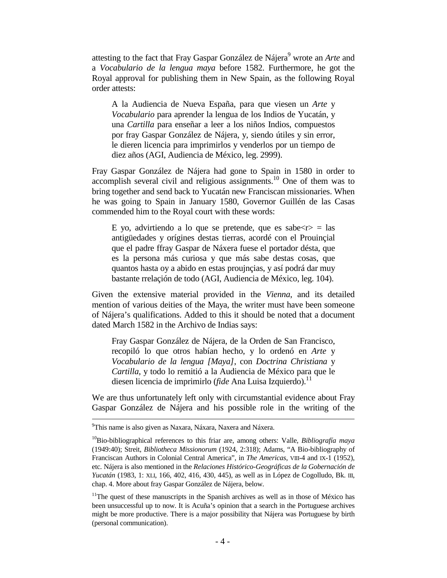attesting to the fact that Fray Gaspar González de Nájera<sup>9</sup> wrote an *Arte* and a *Vocabulario de la lengua maya* before 1582. Furthermore, he got the Royal approval for publishing them in New Spain, as the following Royal order attests:

 A la Audiencia de Nueva España, para que viesen un *Arte* y *Vocabulario* para aprender la lengua de los Indios de Yucatán, y una *Cartilla* para enseñar a leer a los niños Indios, compuestos por fray Gaspar González de Nájera, y, siendo útiles y sin error, le dieren licencia para imprimirlos y venderlos por un tiempo de diez años (AGI, Audiencia de México, leg. 2999).

Fray Gaspar González de Nájera had gone to Spain in 1580 in order to accomplish several civil and religious assignments.<sup>10</sup> One of them was to bring together and send back to Yucatán new Franciscan missionaries. When he was going to Spain in January 1580, Governor Guillén de las Casas commended him to the Royal court with these words:

E yo, advirtiendo a lo que se pretende, que es sabe $\langle r \rangle$  = las antigüedades y orígines destas tierras, acordé con el Prouinçial que el padre ffray Gaspar de Náxera fuese el portador désta, que es la persona más curiosa y que más sabe destas cosas, que quantos hasta oy a abido en estas proujnçias, y así podrá dar muy bastante rrelaçión de todo (AGI, Audiencia de México, leg. 104).

Given the extensive material provided in the *Vienna*, and its detailed mention of various deities of the Maya, the writer must have been someone of Nájera's qualifications. Added to this it should be noted that a document dated March 1582 in the Archivo de Indias says:

 Fray Gaspar González de Nájera, de la Orden de San Francisco, recopiló lo que otros habían hecho, y lo ordenó en *Arte* y *Vocabulario de la lengua [Maya]*, con *Doctrina Christiana* y *Cartilla*, y todo lo remitió a la Audiencia de México para que le diesen licencia de imprimirlo (*fide* Ana Luisa Izquierdo).<sup>11</sup>

We are thus unfortunately left only with circumstantial evidence about Fray Gaspar González de Nájera and his possible role in the writing of the

<sup>&</sup>lt;sup>9</sup>This name is also given as Naxara, Náxara, Naxera and Náxera.

<sup>&</sup>lt;sup>10</sup>Bio-bibliographical references to this friar are, among others: Valle, *Bibliografía maya* (1949:40); Streit, *Bibliotheca Missionorum* (1924, 2:318); Adams, "A Bio-bibliography of Franciscan Authors in Colonial Central America", in *The Americas*, VIII-4 and IX-1 (1952), etc. Nájera is also mentioned in the *Relaciones Histórico-Geográficas de la Gobernación de Yucatán* (1983, 1: XLI, 166, 402, 416, 430, 445), as well as in López de Cogolludo, Bk. III, chap. 4. More about fray Gaspar González de Nájera, below.

 $11$ The quest of these manuscripts in the Spanish archives as well as in those of México has been unsuccessful up to now. It is Acuña's opinion that a search in the Portuguese archives might be more productive. There is a major possibility that Nájera was Portuguese by birth (personal communication).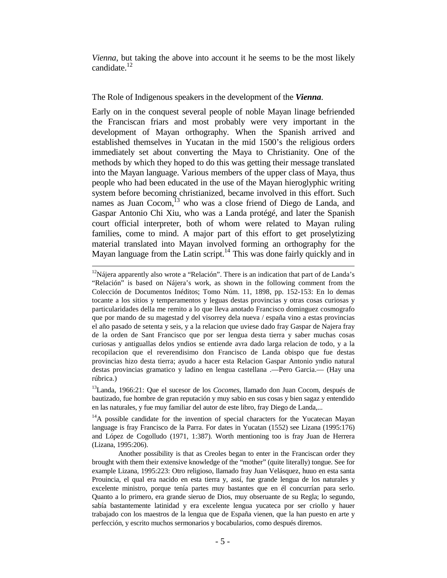*Vienna*, but taking the above into account it he seems to be the most likely candidate.<sup>12</sup>

## The Role of Indigenous speakers in the development of the *Vienna*.

Early on in the conquest several people of noble Mayan linage befriended the Franciscan friars and most probably were very important in the development of Mayan orthography. When the Spanish arrived and established themselves in Yucatan in the mid 1500's the religious orders immediately set about converting the Maya to Christianity. One of the methods by which they hoped to do this was getting their message translated into the Mayan language. Various members of the upper class of Maya, thus people who had been educated in the use of the Mayan hieroglyphic writing system before becoming christianized, became involved in this effort. Such names as Juan Cocom, $^{13}$  who was a close friend of Diego de Landa, and Gaspar Antonio Chi Xiu, who was a Landa protégé, and later the Spanish court official interpreter, both of whom were related to Mayan ruling families, come to mind. A major part of this effort to get proselytizing material translated into Mayan involved forming an orthography for the Mayan language from the Latin script.<sup>14</sup> This was done fairly quickly and in

<sup>&</sup>lt;sup>12</sup>Nájera apparently also wrote a "Relación". There is an indication that part of de Landa's "Relación" is based on Nájera's work, as shown in the following comment from the Colección de Documentos Inéditos; Tomo Núm. 11, 1898, pp. 152-153: En lo demas tocante a los sitios y temperamentos y leguas destas provincias y otras cosas curiosas y particularidades della me remito a lo que lleva anotado Francisco dominguez cosmografo que por mando de su magestad y del visorrey dela nueva / españa vino a estas provincias el año pasado de setenta y seis, y a la relacion que uviese dado fray Gaspar de Najera fray de la orden de Sant Francisco que por ser lengua desta tierra y saber muchas cosas curiosas y antiguallas delos yndios se entiende avra dado larga relacion de todo, y a la recopilacion que el reverendisimo don Francisco de Landa obispo que fue destas provincias hizo desta tierra; ayudo a hacer esta Relacion Gaspar Antonio yndio natural destas provincias gramatico y ladino en lengua castellana .—Pero Garcia.— (Hay una rúbrica.)

<sup>13</sup>Landa, 1966:21: Que el sucesor de los *Cocomes*, llamado don Juan Cocom, después de bautizado, fue hombre de gran reputación y muy sabio en sus cosas y bien sagaz y entendido en las naturales, y fue muy familiar del autor de este libro, fray Diego de Landa,...

<sup>&</sup>lt;sup>14</sup>A possible candidate for the invention of special characters for the Yucatecan Mayan language is fray Francisco de la Parra. For dates in Yucatan (1552) see Lizana (1995:176) and López de Cogolludo (1971, 1:387). Worth mentioning too is fray Juan de Herrera (Lizana, 1995:206).

Another possibility is that as Creoles began to enter in the Franciscan order they brought with them their extensive knowledge of the "mother" (quite literally) tongue. See for example Lizana, 1995:223: Otro religioso, llamado fray Juan Velásquez, huuo en esta santa Prouincia, el qual era nacido en esta tierra y, assí, fue grande lengua de los naturales y excelente ministro, porque tenía partes muy bastantes que en él concurrían para serlo. Quanto a lo primero, era grande sieruo de Dios, muy obseruante de su Regla; lo segundo, sabía bastantemente latinidad y era excelente lengua yucateca por ser criollo y hauer trabajado con los maestros de la lengua que de España vienen, que la han puesto en arte y perfección, y escrito muchos sermonarios y bocabularios, como después diremos.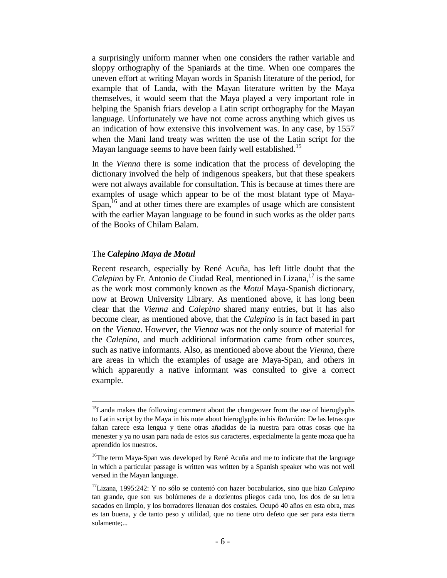a surprisingly uniform manner when one considers the rather variable and sloppy orthography of the Spaniards at the time. When one compares the uneven effort at writing Mayan words in Spanish literature of the period, for example that of Landa, with the Mayan literature written by the Maya themselves, it would seem that the Maya played a very important role in helping the Spanish friars develop a Latin script orthography for the Mayan language. Unfortunately we have not come across anything which gives us an indication of how extensive this involvement was. In any case, by 1557 when the Mani land treaty was written the use of the Latin script for the Mayan language seems to have been fairly well established.<sup>15</sup>

In the *Vienna* there is some indication that the process of developing the dictionary involved the help of indigenous speakers, but that these speakers were not always available for consultation. This is because at times there are examples of usage which appear to be of the most blatant type of Maya-Span,<sup>16</sup> and at other times there are examples of usage which are consistent with the earlier Mayan language to be found in such works as the older parts of the Books of Chilam Balam.

## The *Calepino Maya de Motul*

 $\overline{\phantom{0}}$ 

Recent research, especially by René Acuña, has left little doubt that the Calepino by Fr. Antonio de Ciudad Real, mentioned in Lizana,<sup>17</sup> is the same as the work most commonly known as the *Motul* Maya-Spanish dictionary, now at Brown University Library. As mentioned above, it has long been clear that the *Vienna* and *Calepino* shared many entries, but it has also become clear, as mentioned above, that the *Calepino* is in fact based in part on the *Vienna*. However, the *Vienna* was not the only source of material for the *Calepino*, and much additional information came from other sources, such as native informants. Also, as mentioned above about the *Vienna*, there are areas in which the examples of usage are Maya-Span, and others in which apparently a native informant was consulted to give a correct example.

<sup>&</sup>lt;sup>15</sup>Landa makes the following comment about the changeover from the use of hieroglyphs to Latin script by the Maya in his note about hieroglyphs in his *Relación:* De las letras que faltan carece esta lengua y tiene otras añadidas de la nuestra para otras cosas que ha menester y ya no usan para nada de estos sus caracteres, especialmente la gente moza que ha aprendido los nuestros.

<sup>&</sup>lt;sup>16</sup>The term Maya-Span was developed by René Acuña and me to indicate that the language in which a particular passage is written was written by a Spanish speaker who was not well versed in the Mayan language.

<sup>17</sup>Lizana, 1995:242: Y no sólo se contentó con hazer bocabularios, sino que hizo *Calepino* tan grande, que son sus bolúmenes de a dozientos pliegos cada uno, los dos de su letra sacados en limpio, y los borradores llenauan dos costales. Ocupó 40 años en esta obra, mas es tan buena, y de tanto peso y utilidad, que no tiene otro defeto que ser para esta tierra solamente;...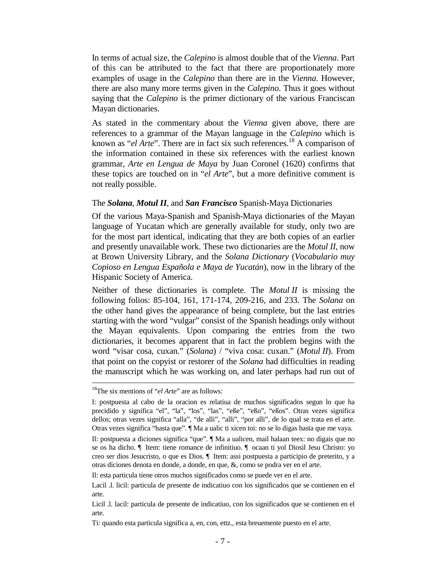In terms of actual size, the *Calepino* is almost double that of the *Vienna*. Part of this can be attributed to the fact that there are proportionately more examples of usage in the *Calepino* than there are in the *Vienna*. However, there are also many more terms given in the *Calepino*. Thus it goes without saying that the *Calepino* is the primer dictionary of the various Franciscan Mayan dictionaries.

As stated in the commentary about the *Vienna* given above, there are references to a grammar of the Mayan language in the *Calepino* which is known as "*el Arte*". There are in fact six such references.<sup>18</sup> A comparison of the information contained in these six references with the earliest known grammar, *Arte en Lengua de Maya* by Juan Coronel (1620) confirms that these topics are touched on in "*el Arte*", but a more definitive comment is not really possible.

## The *Solana*, *Motul II*, and *San Francisco* Spanish-Maya Dictionaries

Of the various Maya-Spanish and Spanish-Maya dictionaries of the Mayan language of Yucatan which are generally available for study, only two are for the most part identical, indicating that they are both copies of an earlier and presently unavailable work. These two dictionaries are the *Motul II*, now at Brown University Library, and the *Solana Dictionary* (*Vocabulario muy Copioso en Lengua Española e Maya de Yucatán*), now in the library of the Hispanic Society of America.

Neither of these dictionaries is complete. The *Motul II* is missing the following folios: 85-104, 161, 171-174, 209-216, and 233. The *Solana* on the other hand gives the appearance of being complete, but the last entries starting with the word "vulgar" consist of the Spanish headings only without the Mayan equivalents. Upon comparing the entries from the two dictionaries, it becomes apparent that in fact the problem begins with the word "visar cosa, cuxan." (*Solana*) / "viva cosa: cuxan." (*Motul II*). From that point on the copyist or restorer of the *Solana* had difficulties in reading the manuscript which he was working on, and later perhaps had run out of

<sup>18</sup>The six mentions of "*el Arte*" are as follows:

I: postpuesta al cabo de la oracion es relatiua de muchos significados segun lo que ha precidido y significa "el", "la", "los", "las", "eße", "eßo", "eßos". Otras vezes significa dellos; otras vezes significa "alla", "de alli", "alli", "por alli", de lo qual se trata en el arte. Otras vezes significa "hasta que". ¶ Ma a ualic ti xicen toi: no se lo digas hasta que me vaya.

Il: postpuesta a diciones significa "que". ¶ Ma a ualicen, mail halaan teex: no digais que no se os ha dicho. ¶ Item: tiene romance de infinitiuo. ¶ ocaan ti yol Diosil Jesu Christo: yo creo ser dios Jesucristo, o que es Dios. ¶ Item: assi postpuesta a participio de preterito, y a otras diciones denota en donde, a donde, en que, &, como se podra ver en el arte.

Il: esta particula tiene otros muchos significados como se puede ver en el arte.

Lacil .l. licil: particula de presente de indicatiuo con los significados que se contienen en el arte.

Licil .l. lacil: particula de presente de indicatiuo, con los significados que se contienen en el arte.

Ti: quando esta particula significa a, en, con, ettz., esta breuemente puesto en el arte.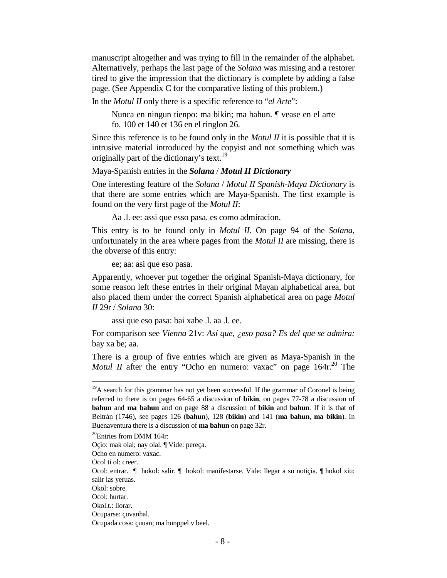manuscript altogether and was trying to fill in the remainder of the alphabet. Alternatively, perhaps the last page of the *Solana* was missing and a restorer tired to give the impression that the dictionary is complete by adding a false page. (See Appendix C for the comparative listing of this problem.)

In the *Motul II* only there is a specific reference to "*el Arte*":

 Nunca en ningun tienpo: ma bikin; ma bahun. ¶ vease en el arte fo. 100 et 140 et 136 en el ringlon 26.

Since this reference is to be found only in the *Motul II* it is possible that it is intrusive material introduced by the copyist and not something which was originally part of the dictionary's text.<sup>19</sup>

## Maya-Spanish entries in the *Solana* / *Motul II Dictionary*

One interesting feature of the *Solana* / *Motul II Spanish-Maya Dictionary* is that there are some entries which are Maya-Spanish. The first example is found on the very first page of the *Motul II*:

Aa .l. ee: assi que esso pasa. es como admiracion.

This entry is to be found only in *Motul II*. On page 94 of the *Solana*, unfortunately in the area where pages from the *Motul II* are missing, there is the obverse of this entry:

ee; aa: asi que eso pasa.

Apparently, whoever put together the original Spanish-Maya dictionary, for some reason left these entries in their original Mayan alphabetical area, but also placed them under the correct Spanish alphabetical area on page *Motul II* 29r / *Solana* 30:

assi que eso pasa: bai xabe .l. aa .l. ee.

For comparison see *Vienna* 21v: *Así que, ¿eso pasa? Es del que se admira:* bay xa be; aa.

There is a group of five entries which are given as Maya-Spanish in the *Motul II* after the entry "Ocho en numero: vaxac" on page 164r.<sup>20</sup> The

i

 $19A$  search for this grammar has not yet been successful. If the grammar of Coronel is being referred to there is on pages 64-65 a discussion of **bikin**, on pages 77-78 a discussion of **bahun** and **ma bahun** and on page 88 a discussion of **bikin** and **bahun**. If it is that of Beltrán (1746), see pages 126 (**bahun**), 128 (**bikin**) and 141 (**ma bahun**, **ma bikin**). In Buenaventura there is a discussion of **ma bahun** on page 32r.

 $20$ Entries from DMM 164r:

Oçio: mak olal; nay olal. ¶ Vide: pereça.

Ocho en numero: vaxac.

Ocol ti ol: creer.

Ocol: entrar. ¶ hokol: salir. ¶ hokol: manifestarse. Vide: llegar a su notiçia. ¶ hokol xiu: salir las yeruas.

Okol: sobre.

Ocol: hurtar.

Okol.t.: llorar.

Ocuparse: çuvanhal.

Ocupada cosa: çuuan; ma hunppel v beel.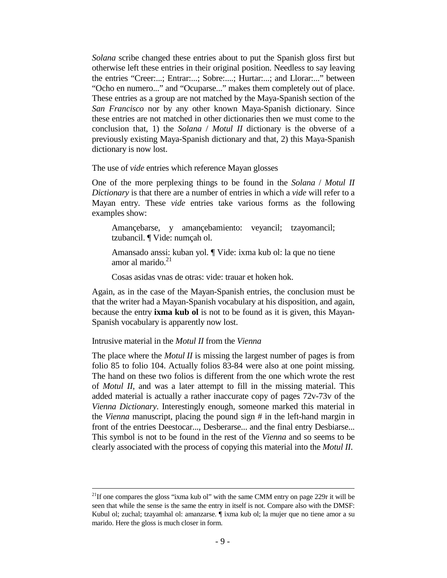*Solana* scribe changed these entries about to put the Spanish gloss first but otherwise left these entries in their original position. Needless to say leaving the entries "Creer:...; Entrar:...; Sobre:....; Hurtar:...; and Llorar:..." between "Ocho en numero..." and "Ocuparse..." makes them completely out of place. These entries as a group are not matched by the Maya-Spanish section of the *San Francisco* nor by any other known Maya-Spanish dictionary. Since these entries are not matched in other dictionaries then we must come to the conclusion that, 1) the *Solana* / *Motul II* dictionary is the obverse of a previously existing Maya-Spanish dictionary and that, 2) this Maya-Spanish dictionary is now lost.

The use of *vide* entries which reference Mayan glosses

One of the more perplexing things to be found in the *Solana* / *Motul II Dictionary* is that there are a number of entries in which a *vide* will refer to a Mayan entry. These *vide* entries take various forms as the following examples show:

 Amançebarse, y amançebamiento: veyancil; tzayomancil; tzubancil. ¶ Vide: numçah ol.

 Amansado anssi: kuban yol. ¶ Vide: ixma kub ol: la que no tiene amor al marido.<sup>21</sup>

Cosas asidas vnas de otras: vide: trauar et hoken hok.

Again, as in the case of the Mayan-Spanish entries, the conclusion must be that the writer had a Mayan-Spanish vocabulary at his disposition, and again, because the entry **ixma kub ol** is not to be found as it is given, this Mayan-Spanish vocabulary is apparently now lost.

Intrusive material in the *Motul II* from the *Vienna*

 $\overline{\phantom{0}}$ 

The place where the *Motul II* is missing the largest number of pages is from folio 85 to folio 104. Actually folios 83-84 were also at one point missing. The hand on these two folios is different from the one which wrote the rest of *Motul II*, and was a later attempt to fill in the missing material. This added material is actually a rather inaccurate copy of pages 72v-73v of the *Vienna Dictionary*. Interestingly enough, someone marked this material in the *Vienna* manuscript, placing the pound sign # in the left-hand margin in front of the entries Deestocar..., Desberarse... and the final entry Desbiarse... This symbol is not to be found in the rest of the *Vienna* and so seems to be clearly associated with the process of copying this material into the *Motul II*.

<sup>&</sup>lt;sup>21</sup>If one compares the gloss "ixma kub ol" with the same CMM entry on page 229r it will be seen that while the sense is the same the entry in itself is not. Compare also with the DMSF: Kubul ol; zuchal; tzayamhal ol: amanzarse. ¶ ixma kub ol; la mujer que no tiene amor a su marido. Here the gloss is much closer in form.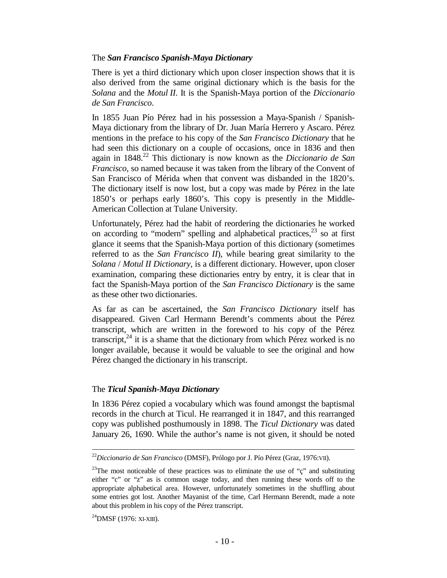# The *San Francisco Spanish-Maya Dictionary*

There is yet a third dictionary which upon closer inspection shows that it is also derived from the same original dictionary which is the basis for the *Solana* and the *Motul II*. It is the Spanish-Maya portion of the *Diccionario de San Francisco*.

In 1855 Juan Pío Pérez had in his possession a Maya-Spanish / Spanish-Maya dictionary from the library of Dr. Juan María Herrero y Ascaro. Pérez mentions in the preface to his copy of the *San Francisco Dictionary* that he had seen this dictionary on a couple of occasions, once in 1836 and then again in 1848.<sup>22</sup> This dictionary is now known as the *Diccionario de San Francisco*, so named because it was taken from the library of the Convent of San Francisco of Mérida when that convent was disbanded in the 1820's. The dictionary itself is now lost, but a copy was made by Pérez in the late 1850's or perhaps early 1860's. This copy is presently in the Middle-American Collection at Tulane University.

Unfortunately, Pérez had the habit of reordering the dictionaries he worked on according to "modern" spelling and alphabetical practices,  $2^3$  so at first glance it seems that the Spanish-Maya portion of this dictionary (sometimes referred to as the *San Francisco II*), while bearing great similarity to the *Solana* / *Motul II Dictionary*, is a different dictionary. However, upon closer examination, comparing these dictionaries entry by entry, it is clear that in fact the Spanish-Maya portion of the *San Francisco Dictionary* is the same as these other two dictionaries.

As far as can be ascertained, the *San Francisco Dictionary* itself has disappeared. Given Carl Hermann Berendt's comments about the Pérez transcript, which are written in the foreword to his copy of the Pérez transcript, $^{24}$  it is a shame that the dictionary from which Pérez worked is no longer available, because it would be valuable to see the original and how Pérez changed the dictionary in his transcript.

# The *Ticul Spanish-Maya Dictionary*

In 1836 Pérez copied a vocabulary which was found amongst the baptismal records in the church at Ticul. He rearranged it in 1847, and this rearranged copy was published posthumously in 1898. The *Ticul Dictionary* was dated January 26, 1690. While the author's name is not given, it should be noted

 $^{24}$ DMSF (1976: XI-XIII).

<sup>22</sup>*Diccionario de San Francisco* (DMSF), Prólogo por J. Pío Pérez (Graz, 1976:VII).

<sup>&</sup>lt;sup>23</sup>The most noticeable of these practices was to eliminate the use of " $\zeta$ " and substituting either "c" or "z" as is common usage today, and then running these words off to the appropriate alphabetical area. However, unfortunately sometimes in the shuffling about some entries got lost. Another Mayanist of the time, Carl Hermann Berendt, made a note about this problem in his copy of the Pérez transcript.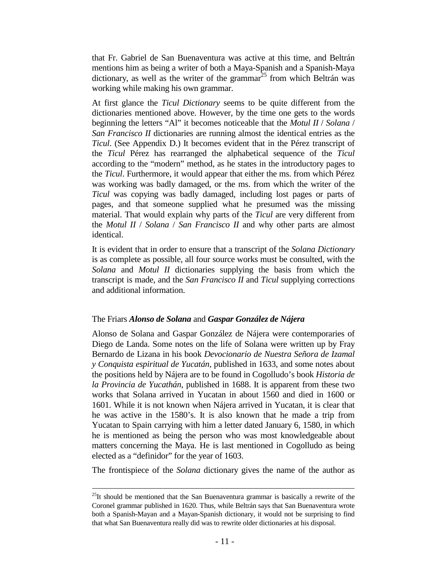that Fr. Gabriel de San Buenaventura was active at this time, and Beltrán mentions him as being a writer of both a Maya-Spanish and a Spanish-Maya dictionary, as well as the writer of the grammar<sup>25</sup> from which Beltrán was working while making his own grammar.

At first glance the *Ticul Dictionary* seems to be quite different from the dictionaries mentioned above. However, by the time one gets to the words beginning the letters "Al" it becomes noticeable that the *Motul II* / *Solana* / *San Francisco II* dictionaries are running almost the identical entries as the *Ticul*. (See Appendix D.) It becomes evident that in the Pérez transcript of the *Ticul* Pérez has rearranged the alphabetical sequence of the *Ticul* according to the "modern" method, as he states in the introductory pages to the *Ticul*. Furthermore, it would appear that either the ms. from which Pérez was working was badly damaged, or the ms. from which the writer of the *Ticul* was copying was badly damaged, including lost pages or parts of pages, and that someone supplied what he presumed was the missing material. That would explain why parts of the *Ticul* are very different from the *Motul II* / *Solana* / *San Francisco II* and why other parts are almost identical.

It is evident that in order to ensure that a transcript of the *Solana Dictionary* is as complete as possible, all four source works must be consulted, with the *Solana* and *Motul II* dictionaries supplying the basis from which the transcript is made, and the *San Francisco II* and *Ticul* supplying corrections and additional information.

# The Friars *Alonso de Solana* and *Gaspar González de Nájera*

Alonso de Solana and Gaspar González de Nájera were contemporaries of Diego de Landa. Some notes on the life of Solana were written up by Fray Bernardo de Lizana in his book *Devocionario de Nuestra Señora de Izamal y Conquista espiritual de Yucatán*, published in 1633, and some notes about the positions held by Nájera are to be found in Cogolludo's book *Historia de la Provincia de Yucathán*, published in 1688. It is apparent from these two works that Solana arrived in Yucatan in about 1560 and died in 1600 or 1601. While it is not known when Nájera arrived in Yucatan, it is clear that he was active in the 1580's. It is also known that he made a trip from Yucatan to Spain carrying with him a letter dated January 6, 1580, in which he is mentioned as being the person who was most knowledgeable about matters concerning the Maya. He is last mentioned in Cogolludo as being elected as a "definidor" for the year of 1603.

The frontispiece of the *Solana* dictionary gives the name of the author as

i  $^{25}$ It should be mentioned that the San Buenaventura grammar is basically a rewrite of the Coronel grammar published in 1620. Thus, while Beltrán says that San Buenaventura wrote both a Spanish-Mayan and a Mayan-Spanish dictionary, it would not be surprising to find that what San Buenaventura really did was to rewrite older dictionaries at his disposal.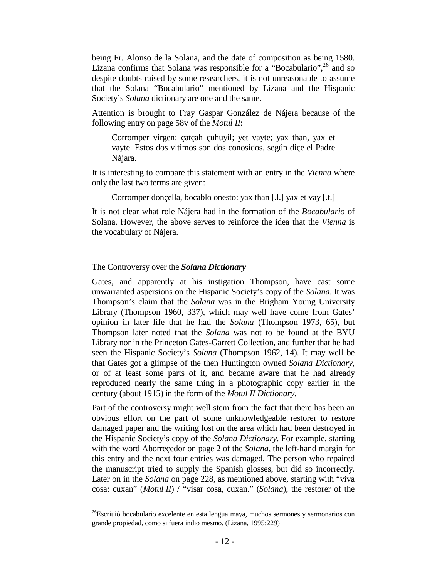being Fr. Alonso de la Solana, and the date of composition as being 1580. Lizana confirms that Solana was responsible for a "Bocabulario",  $26$  and so despite doubts raised by some researchers, it is not unreasonable to assume that the Solana "Bocabulario" mentioned by Lizana and the Hispanic Society's *Solana* dictionary are one and the same.

Attention is brought to Fray Gaspar González de Nájera because of the following entry on page 58v of the *Motul II*:

 Corromper virgen: çatçah çuhuyil; yet vayte; yax than, yax et vayte. Estos dos vltimos son dos conosidos, según diçe el Padre Nájara.

It is interesting to compare this statement with an entry in the *Vienna* where only the last two terms are given:

Corromper donçella, bocablo onesto: yax than [.l.] yax et vay [.t.]

It is not clear what role Nájera had in the formation of the *Bocabulario* of Solana. However, the above serves to reinforce the idea that the *Vienna* is the vocabulary of Nájera.

## The Controversy over the *Solana Dictionary*

 $\overline{\phantom{0}}$ 

Gates, and apparently at his instigation Thompson, have cast some unwarranted aspersions on the Hispanic Society's copy of the *Solana*. It was Thompson's claim that the *Solana* was in the Brigham Young University Library (Thompson 1960, 337), which may well have come from Gates' opinion in later life that he had the *Solana* (Thompson 1973, 65), but Thompson later noted that the *Solana* was not to be found at the BYU Library nor in the Princeton Gates-Garrett Collection, and further that he had seen the Hispanic Society's *Solana* (Thompson 1962, 14). It may well be that Gates got a glimpse of the then Huntington owned *Solana Dictionary*, or of at least some parts of it, and became aware that he had already reproduced nearly the same thing in a photographic copy earlier in the century (about 1915) in the form of the *Motul II Dictionary*.

Part of the controversy might well stem from the fact that there has been an obvious effort on the part of some unknowledgeable restorer to restore damaged paper and the writing lost on the area which had been destroyed in the Hispanic Society's copy of the *Solana Dictionary*. For example, starting with the word Aborreçedor on page 2 of the *Solana*, the left-hand margin for this entry and the next four entries was damaged. The person who repaired the manuscript tried to supply the Spanish glosses, but did so incorrectly. Later on in the *Solana* on page 228, as mentioned above, starting with "viva cosa: cuxan" (*Motul II*) / "visar cosa, cuxan." (*Solana*), the restorer of the

<sup>&</sup>lt;sup>26</sup>Escriuió bocabulario excelente en esta lengua maya, muchos sermones y sermonarios con grande propiedad, como si fuera indio mesmo. (Lizana, 1995:229)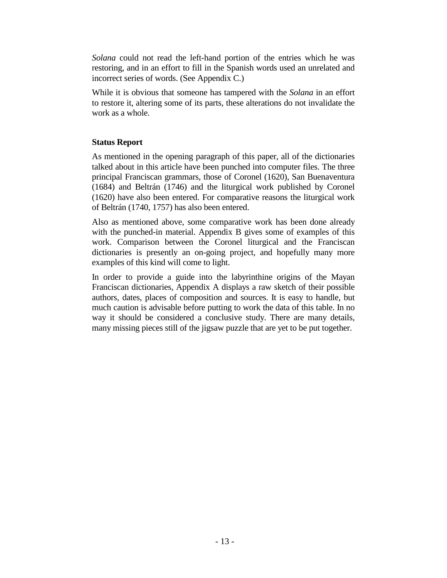*Solana* could not read the left-hand portion of the entries which he was restoring, and in an effort to fill in the Spanish words used an unrelated and incorrect series of words. (See Appendix C.)

While it is obvious that someone has tampered with the *Solana* in an effort to restore it, altering some of its parts, these alterations do not invalidate the work as a whole.

# **Status Report**

As mentioned in the opening paragraph of this paper, all of the dictionaries talked about in this article have been punched into computer files. The three principal Franciscan grammars, those of Coronel (1620), San Buenaventura (1684) and Beltrán (1746) and the liturgical work published by Coronel (1620) have also been entered. For comparative reasons the liturgical work of Beltrán (1740, 1757) has also been entered.

Also as mentioned above, some comparative work has been done already with the punched-in material. Appendix B gives some of examples of this work. Comparison between the Coronel liturgical and the Franciscan dictionaries is presently an on-going project, and hopefully many more examples of this kind will come to light.

In order to provide a guide into the labyrinthine origins of the Mayan Franciscan dictionaries, Appendix A displays a raw sketch of their possible authors, dates, places of composition and sources. It is easy to handle, but much caution is advisable before putting to work the data of this table. In no way it should be considered a conclusive study. There are many details, many missing pieces still of the jigsaw puzzle that are yet to be put together.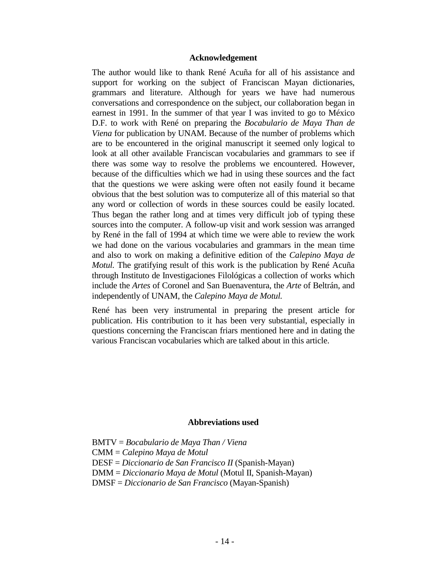## **Acknowledgement**

The author would like to thank René Acuña for all of his assistance and support for working on the subject of Franciscan Mayan dictionaries, grammars and literature. Although for years we have had numerous conversations and correspondence on the subject, our collaboration began in earnest in 1991. In the summer of that year I was invited to go to México D.F. to work with René on preparing the *Bocabulario de Maya Than de Viena* for publication by UNAM. Because of the number of problems which are to be encountered in the original manuscript it seemed only logical to look at all other available Franciscan vocabularies and grammars to see if there was some way to resolve the problems we encountered. However, because of the difficulties which we had in using these sources and the fact that the questions we were asking were often not easily found it became obvious that the best solution was to computerize all of this material so that any word or collection of words in these sources could be easily located. Thus began the rather long and at times very difficult job of typing these sources into the computer. A follow-up visit and work session was arranged by René in the fall of 1994 at which time we were able to review the work we had done on the various vocabularies and grammars in the mean time and also to work on making a definitive edition of the *Calepino Maya de Motul.* The gratifying result of this work is the publication by René Acuña through Instituto de Investigaciones Filológicas a collection of works which include the *Artes* of Coronel and San Buenaventura, the *Arte* of Beltrán, and independently of UNAM, the *Calepino Maya de Motul.*

René has been very instrumental in preparing the present article for publication. His contribution to it has been very substantial, especially in questions concerning the Franciscan friars mentioned here and in dating the various Franciscan vocabularies which are talked about in this article.

## **Abbreviations used**

BMTV = *Bocabulario de Maya Than / Viena* CMM = *Calepino Maya de Motul* DESF = *Diccionario de San Francisco II* (Spanish-Mayan) DMM = *Diccionario Maya de Motul* (Motul II, Spanish-Mayan) DMSF = *Diccionario de San Francisco* (Mayan-Spanish)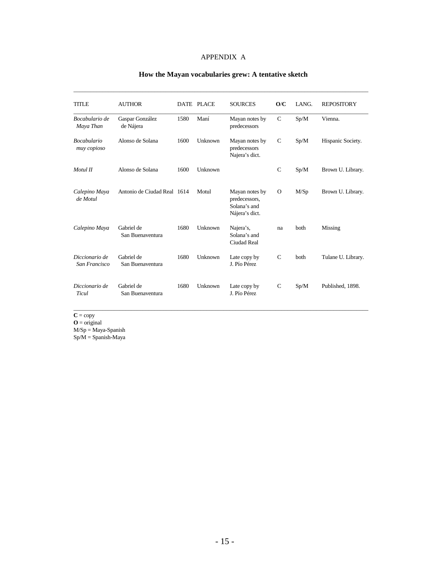## APPENDIX A

| <b>TITLE</b>                      | <b>AUTHOR</b>                  |      | DATE PLACE | <b>SOURCES</b>                                                    | O/C           | LANG. | <b>REPOSITORY</b>  |
|-----------------------------------|--------------------------------|------|------------|-------------------------------------------------------------------|---------------|-------|--------------------|
| Bocabulario de<br>Maya Than       | Gaspar González<br>de Nájera   | 1580 | Maní       | Mayan notes by<br>predecessors                                    | $\mathcal{C}$ | Sp/M  | Vienna.            |
| <b>Bocabulario</b><br>muy copioso | Alonso de Solana               | 1600 | Unknown    | Mayan notes by<br>predecessors<br>Najera's dict.                  | C             | Sp/M  | Hispanic Society.  |
| Motul II                          | Alonso de Solana               | 1600 | Unknown    |                                                                   | $\mathcal{C}$ | Sp/M  | Brown U. Library.  |
| Calepino Maya<br>de Motul         | Antonio de Ciudad Real 1614    |      | Motul      | Mayan notes by<br>predecessors,<br>Solana's and<br>Nájera's dict. | $\Omega$      | M/Sp  | Brown U. Library.  |
| Calepino Maya                     | Gabriel de<br>San Buenaventura | 1680 | Unknown    | Najera's,<br>Solana's and<br>Ciudad Real                          | na            | both  | Missing            |
| Diccionario de<br>San Francisco   | Gabriel de<br>San Buenaventura | 1680 | Unknown    | Late copy by<br>J. Pío Pérez                                      | $\mathcal{C}$ | both  | Tulane U. Library. |
| Diccionario de<br>Ticul           | Gabriel de<br>San Buenaventura | 1680 | Unknown    | Late copy by<br>J. Pío Pérez                                      | $\mathcal{C}$ | Sp/M  | Published, 1898.   |

\_\_\_\_\_\_\_\_\_\_\_\_\_\_\_\_\_\_\_\_\_\_\_\_\_\_\_\_\_\_\_\_\_\_\_\_\_\_\_\_\_\_\_\_\_\_\_\_\_\_\_\_\_\_\_\_\_\_\_\_\_\_\_\_\_\_\_\_\_\_\_\_\_\_\_\_\_\_\_\_\_\_\_\_\_\_\_\_\_\_\_\_\_\_\_\_\_\_\_\_\_\_

# **How the Mayan vocabularies grew: A tentative sketch**

 $C = copy$ 

 $\mathbf{O} = \text{original}$ 

M/Sp = Maya-Spanish

Sp/M = Spanish-Maya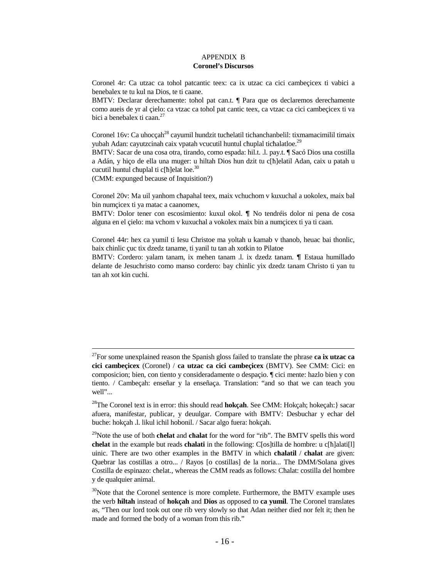## APPENDIX B  **Coronel's Discursos**

Coronel 4r: Ca utzac ca tohol patcantic teex: ca ix utzac ca cici cambeçicex ti vabici a benebalex te tu kul na Dios, te ti caane.

BMTV: Declarar derechamente: tohol pat can.t. ¶ Para que os declaremos derechamente como aueis de yr al çielo: ca vtzac ca tohol pat cantic teex, ca vtzac ca cici cambeçicex ti va bici a benebalex ti caan.<sup>27</sup>

Coronel 16v: Ca uhocçah<sup>28</sup> cayumil hundzit tucħelatil tichanchanbelil: tixmamacimilil timaix yubah Adan: cayutzcinah caix vpatah vcucutil huntul chuplal tichalatloe.<sup>29</sup>

BMTV: Sacar de una cosa otra, tirando, como espada: hil.t. .l. pay.t. ¶ Sacó Dios una costilla a Adán, y hiço de ella una muger: u hiltah Dios hun dzit tu c[ħ]elatil Adan, caix u patah u cucutil huntul chuplal ti c[ħ]elat loe.<sup>30</sup>

(CMM: expunged because of Inquisition?)

 $\overline{\phantom{0}}$ 

Coronel 20v: Ma uil yanhom cħapahal teex, maix vchuchom v kuxuchal a uokolex, maix bal bin numçicex ti ya matac a caanomex,

BMTV: Dolor tener con escosimiento: kuxul okol. ¶ No tendréis dolor ni pena de cosa alguna en el çielo: ma vchom v kuxuchal a vokolex maix bin a numçicex ti ya ti caan.

Coronel 44r: hex ca yumil ti Iesu Christoe ma yoltah u kamab v thanob, heuac bai thonlic, baix chinlic çuc tix dzedz taname, ti yanil tu tan ah xotkin to Pilatoe

BMTV: Cordero: yalam tanam, ix mehen tanam .l. ix dzedz tanam. ¶ Estaua humillado delante de Jesuchristo como manso cordero: bay chinlic yix dzedz tanam Christo ti yan tu tan ah xot kin cuchi.

<sup>27</sup>For some unexplained reason the Spanish gloss failed to translate the phrase **ca ix utzac ca cici cambeçicex** (Coronel) / **ca utzac ca cici cambeçicex** (BMTV). See CMM: Cici: en composicion; bien, con tiento y consideradamente o despaçio. ¶ cici mente: hazlo bien y con tiento. / Cambeçah: enseñar y la enseñaça. Translation: "and so that we can teach you well"...

<sup>28</sup>The Coronel text is in error: this should read **hokçah**. See CMM: Hokçah; hokeçah:} sacar afuera, manifestar, publicar, y deuulgar. Compare with BMTV: Desbuchar y echar del buche: hokçah .l. likul ichil hobonil. / Sacar algo fuera: hokçah.

<sup>29</sup>Note the use of both **cħelat** and **cħalat** for the word for "rib". The BMTV spells this word **chelat** in the example but reads **chalati** in the following: C[os]tilla de hombre: u c[ħ]alati[l] uinic. There are two other examples in the BMTV in which **cħalatil** / **chalat** are given: Quebrar las costillas a otro... / Rayos [o costillas] de la noria... The DMM/Solana gives Costilla de espinazo: cħelat., whereas the CMM reads as follows: Cħalat: costilla del hombre y de qualquier animal.

 $30$ Note that the Coronel sentence is more complete. Furthermore, the BMTV example uses the verb **hiltah** instead of **hokçah** and **Dios** as opposed to **ca yumil**. The Coronel translates as, "Then our lord took out one rib very slowly so that Adan neither died nor felt it; then he made and formed the body of a woman from this rib."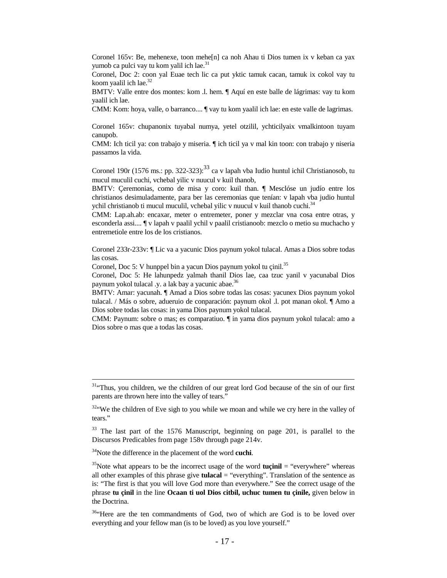Coronel 165v: Be, mehenexe, toon mehe[n] ca noh Ahau ti Dios tumen ix v keban ca yax yumob ca pulci vay tu kom valil ich lae.<sup>31</sup>

Coronel, Doc 2: coon yal Euae tech lic ca put yktic tamuk cacan, tamuk ix cokol vay tu koom vaalil ich lae. $32$ 

BMTV: Valle entre dos montes: kom .l. hem. ¶ Aquí en este balle de lágrimas: vay tu kom yaalil ich lae.

CMM: Kom: hoya, valle, o barranco.... ¶ vay tu kom yaalil ich lae: en este valle de lagrimas.

Coronel 165v: chupanonix tuyabal numya, yetel otzilil, ychticilyaix vmalkintoon tuyam canupob.

CMM: Ich ticil ya: con trabajo y miseria. ¶ ich ticil ya v mal kin toon: con trabajo y niseria passamos la vida.

Coronel 190r (1576 ms.: pp. 322-323):<sup>33</sup> ca v lapah vba Iudio huntul ichil Christianosob, tu mucul muculil cuchi, vchebal yilic v nuucul v kuil thanob,

BMTV: Çeremonias, como de misa y coro: kuil than. ¶ Mesclóse un judío entre los christianos desimuladamente, para ber las ceremonias que tenían: v lapah vba judio huntul ychil christianob ti mucul muculil, vchebal yilic v nuucul v kuil thanob cuchi. $34$ 

CMM: Lap.ah.ab: encaxar, meter o entremeter, poner y mezclar vna cosa entre otras, y esconderla assi.... ¶ v lapah v paalil ychil v paalil cristianoob: mezclo o metio su muchacho y entremetiole entre los de los cristianos.

Coronel 233r-233v: ¶ Lic va a yacunic Dios paynum yokol tulacal. Amas a Dios sobre todas las cosas.

Coronel, Doc 5: V hunppel bin a yacun Dios paynum yokol tu çinil.<sup>35</sup>

Coronel, Doc 5: He lahunpedz yalmah thanil Dios lae, caa tzuc yanil v yacunabal Dios paynum yokol tulacal .y. a lak bay a yacunic abae.<sup>36</sup>

BMTV: Amar: yacunah. ¶ Amad a Dios sobre todas las cosas: yacunex Dios paynum yokol tulacal. / Más o sobre, adueruio de conparación: paynum okol .l. pot manan okol. ¶ Amo a Dios sobre todas las cosas: in yama Dios paynum yokol tulacal.

CMM: Paynum: sobre o mas; es comparatiuo. ¶ in yama dios paynum yokol tulacal: amo a Dios sobre o mas que a todas las cosas.

<sup>&</sup>lt;sup>31.</sup>Thus, you children, we the children of our great lord God because of the sin of our first parents are thrown here into the valley of tears."

 $32$ . We the children of Eve sigh to you while we moan and while we cry here in the valley of tears."

<sup>&</sup>lt;sup>33</sup> The last part of the 1576 Manuscript, beginning on page 201, is parallel to the Discursos Predicables from page 158v through page 214v.

<sup>34</sup>Note the difference in the placement of the word **cuchi**.

<sup>&</sup>lt;sup>35</sup>Note what appears to be the incorrect usage of the word **tucinil** = "everywhere" whereas all other examples of this phrase give **tulacal** = "everything". Translation of the sentence as is: "The first is that you will love God more than everywhere." See the correct usage of the phrase **tu çinil** in the line **Ocaan ti uol Dios citbil, uchuc tumen tu çinile,** given below in the Doctrina.

<sup>&</sup>lt;sup>36.</sup>Here are the ten commandments of God, two of which are God is to be loved over everything and your fellow man (is to be loved) as you love yourself."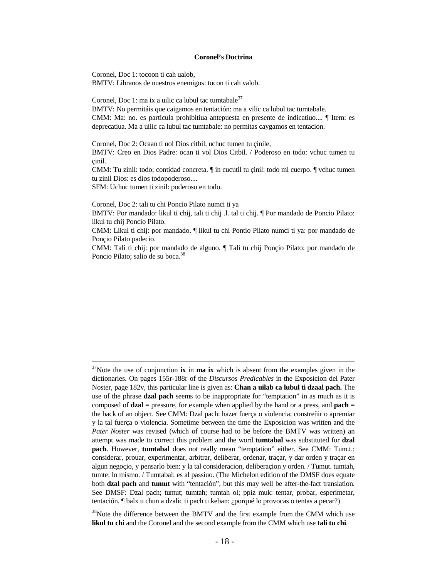#### **Coronel's Doctrina**

Coronel, Doc 1: tocoon ti cah ualob,

BMTV: Libranos de nuestros enemigos: tocon ti cah valob.

Coronel, Doc 1: ma ix a uilic ca lubul tac tumtabale<sup>37</sup>

BMTV: No permitáis que caigamos en tentación: ma a vilic ca lubul tac tumtabale. CMM: Ma: no. es particula prohibitiua antepuesta en presente de indicatiuo.... ¶ Item: es deprecatiua. Ma a uilic ca lubul tac tumtabale: no permitas caygamos en tentacion.

Coronel, Doc 2: Ocaan ti uol Dios citbil, uchuc tumen tu çinile,

BMTV: Creo en Dios Padre: ocan ti vol Dios Citbil. / Poderoso en todo: vchuc tumen tu çinil.

CMM: Tu zinil: todo; contidad concreta. ¶ in cucutil tu çinil: todo mi cuerpo. ¶ vchuc tumen tu zinil Dios: es dios todopoderoso....

SFM: Uchuc tumen ti zinil: poderoso en todo.

 $\overline{\phantom{0}}$ 

Coronel, Doc 2: tali tu chi Poncio Pilato numci ti ya

BMTV: Por mandado: likul ti chij, tali ti chij .l. tal ti chij. ¶ Por mandado de Poncio Pilato: likul tu chij Poncio Pilato.

CMM: Likul ti chij: por mandado. ¶ likul tu chi Pontio Pilato numci ti ya: por mandado de Ponçio Pilato padecio.

CMM: Tali ti chij: por mandado de alguno. ¶ Tali tu chij Ponçio Pilato: por mandado de Poncio Pilato; salio de su boca.<sup>38</sup>

<sup>&</sup>lt;sup>37</sup>Note the use of conjunction **ix** in **ma ix** which is absent from the examples given in the dictionaries. On pages 155r-188r of the *Discursos Predicables* in the Exposicion del Pater Noster, page 182v, this particular line is given as: **Chan a uilab ca lubul ti dzaal pach.** The use of the phrase **dzal pach** seems to be inappropriate for "temptation" in as much as it is composed of **dzal** = pressure, for example when applied by the hand or a press, and **pach** = the back of an object. See CMM: Dzal pach: hazer fuerça o violencia; constreñir o apremiar y la tal fuerça o violencia. Sometime between the time the Exposicion was written and the *Pater Noster* was revised (which of course had to be before the BMTV was written) an attempt was made to correct this problem and the word **tumtabal** was substituted for **dzal pach**. However, **tumtabal** does not really mean "temptation" either. See CMM: Tum.t.: considerar, prouar, experimentar, arbitrar, deliberar, ordenar, traçar, y dar orden y traçar en algun negoçio, y pensarlo bien: y la tal consideracion, deliberaçion y orden. / Tumut. tumtah, tumte: lo mismo. / Tumtabal: es al passiuo. (The Michelon edition of the DMSF does equate both **dzal pach** and **tumut** with "tentación", but this may well be after-the-fact translation. See DMSF: Dzal pach; tumut; tumtah; tumtah ol; ppiz muk: tentar, probar, esperimetar, tentación. ¶ balx u chun a dzalic ti pach ti keban: ¿porqué lo provocas o tentas a pecar?)

<sup>&</sup>lt;sup>38</sup>Note the difference between the BMTV and the first example from the CMM which use **likul tu chi** and the Coronel and the second example from the CMM which use **tali tu chi**.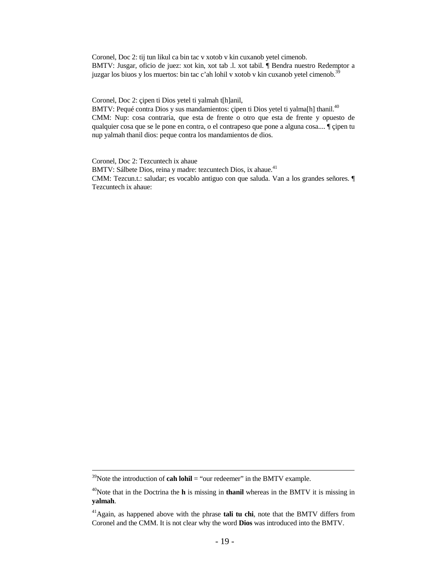Coronel, Doc 2: tij tun likul ca bin tac v xotob v kin cuxanob yetel cimenob. BMTV: Jusgar, oficio de juez: xot kin, xot tab .l. xot tabil. ¶ Bendra nuestro Redemptor a juzgar los biuos y los muertos: bin tac c'ah lohil v xotob v kin cuxanob yetel cimenob.<sup>39</sup>

Coronel, Doc 2: çipen ti Dios yetel ti yalmah t[h]anil,

BMTV: Pequé contra Dios y sus mandamientos: çipen ti Dios yetel ti yalma[h] thanil.<sup>40</sup> CMM: Nup: cosa contraria, que esta de frente o otro que esta de frente y opuesto de qualquier cosa que se le pone en contra, o el contrapeso que pone a alguna cosa.... ¶ çipen tu nup yalmah thanil dios: peque contra los mandamientos de dios.

Coronel, Doc 2: Tezcuntech ix ahaue BMTV: Sálbete Dios, reina y madre: tezcuntech Dios, ix ahaue.<sup>41</sup> CMM: Tezcun.t.: saludar; es vocablo antiguo con que saluda. Van a los grandes señores. ¶ Tezcuntech ix ahaue:

 $39$ Note the introduction of **cah lohil** = "our redeemer" in the BMTV example.

<sup>40</sup>Note that in the Doctrina the **h** is missing in **thanil** whereas in the BMTV it is missing in **yalmah**.

<sup>41</sup>Again, as happened above with the phrase **tali tu chi**, note that the BMTV differs from Coronel and the CMM. It is not clear why the word **Dios** was introduced into the BMTV.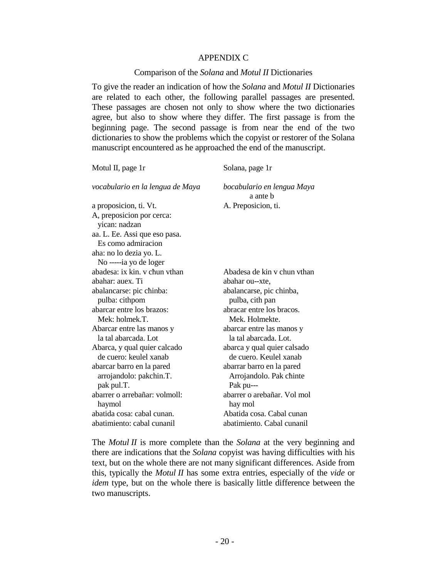## APPENDIX C

## Comparison of the *Solana* and *Motul II* Dictionaries

To give the reader an indication of how the *Solana* and *Motul II* Dictionaries are related to each other, the following parallel passages are presented. These passages are chosen not only to show where the two dictionaries agree, but also to show where they differ. The first passage is from the beginning page. The second passage is from near the end of the two dictionaries to show the problems which the copyist or restorer of the Solana manuscript encountered as he approached the end of the manuscript.

| Solana, page 1r                        |  |  |  |  |
|----------------------------------------|--|--|--|--|
| bocabulario en lengua Maya<br>a ante b |  |  |  |  |
| A. Preposicion, ti.                    |  |  |  |  |
|                                        |  |  |  |  |
|                                        |  |  |  |  |
|                                        |  |  |  |  |
|                                        |  |  |  |  |
|                                        |  |  |  |  |
| Abadesa de kin y chun ythan            |  |  |  |  |
| abahar ou--xte,                        |  |  |  |  |
| abalancarse, pic chinba,               |  |  |  |  |
| pulba, cith pan                        |  |  |  |  |
| abracar entre los bracos.              |  |  |  |  |
| Mek. Holmekte.                         |  |  |  |  |
| abarcar entre las manos y              |  |  |  |  |
| la tal abarcada. Lot.                  |  |  |  |  |
| abarca y qual quier calsado            |  |  |  |  |
| de cuero. Keulel xanab                 |  |  |  |  |
| abarrar barro en la pared              |  |  |  |  |
| Arrojandolo. Pak chinte                |  |  |  |  |
|                                        |  |  |  |  |
| abarrer o arebañar. Vol mol            |  |  |  |  |
|                                        |  |  |  |  |
| Abatida cosa. Cabal cunan              |  |  |  |  |
|                                        |  |  |  |  |
|                                        |  |  |  |  |

The *Motul II* is more complete than the *Solana* at the very beginning and there are indications that the *Solana* copyist was having difficulties with his text, but on the whole there are not many significant differences. Aside from this, typically the *Motul II* has some extra entries, especially of the *vide* or *idem* type, but on the whole there is basically little difference between the two manuscripts.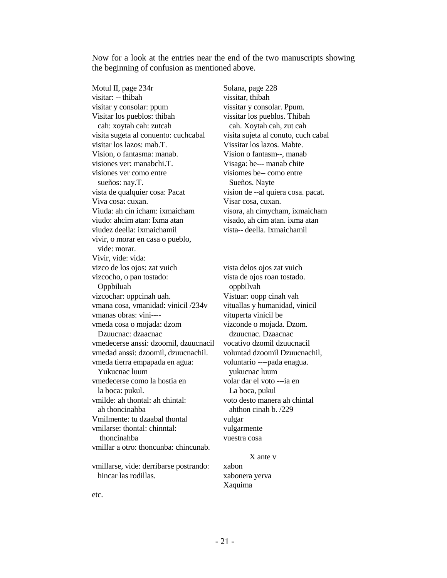Now for a look at the entries near the end of the two manuscripts showing the beginning of confusion as mentioned above.

Motul II, page 234r Solana, page 228 visitar: -- thibah vissitar, thibah visitar y consolar: ppum vissitar y consolar. Ppum. Visitar los pueblos: thibah vissitar los pueblos. Thibah cah: xoytah cah: zutcah cah. Xoytah cah, zut cah visita sugeta al conuento: cuchcabal visita sujeta al conuto, cuch cabal visitar los lazos: mab.T. Vissitar los lazos. Mabte. Vision, o fantasma: manab. Vision o fantasm--, manab visiones ver: manabchi.T. Visaga: be--- manab chite visiones ver como entre visiomes be-- como entre sueños: nay.T. Sueños. Nayte vista de qualquier cosa: Pacat vision de --al quiera cosa. pacat. Viva cosa: cuxan. Visar cosa, cuxan. Viuda: ah cin icham: ixmaicham visora, ah cimycham, ixmaicham viudo: ahcim atan: Ixma atan visado, ah cim atan. ixma atan viudez deella: ixmaichamil vista-- deella. Ixmaichamil vivir, o morar en casa o pueblo, vide: morar. Vivir, vide: vida: vizco de los ojos: zat vuich vista delos ojos zat vuich vizcocho, o pan tostado: vista de ojos roan tostado. Oppbiluah oppbilvah vizcochar: oppcinah uah. Vistuar: oopp cinah vah vmana cosa, vmanidad: vinicil /234v vituallas y humanidad, vinicil vmanas obras: vini---vmeda cosa o mojada: dzom vizconde o mojada. Dzom. Dzuucnac: dzaacnac dzuucnac. Dzaacnac vmedecerse anssi: dzoomil, dzuucnacil vocativo dzomil dzuucnacil vmedad anssi: dzoomil, dzuucnachil. voluntad dzoomil Dzuucnachil, vmeda tierra empapada en agua: voluntario ----pada enagua. Yukucnac luum yukucnac luum vmedecerse como la hostia en volar dar el voto ---ia en la boca: pukul. La boca, pukul vmilde: ah thontal: ah chintal: voto desto manera ah chintal ah thoncinahba ahthon cinah b. /229 Vmilmente: tu dzaabal thontal vulgar vmilarse: thontal: chinntal: vulgarmente thoncinahba vuestra cosa vmillar a otro: thoncunba: chincunab.

vmillarse, vide: derribarse postrando: xabon hincar las rodillas. xabonera yerva

 X ante v Xaquima

etc.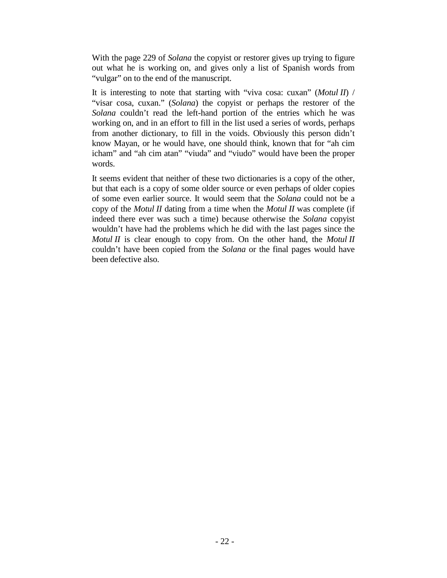With the page 229 of *Solana* the copyist or restorer gives up trying to figure out what he is working on, and gives only a list of Spanish words from "vulgar" on to the end of the manuscript.

It is interesting to note that starting with "viva cosa: cuxan" (*Motul II*) / "visar cosa, cuxan." (*Solana*) the copyist or perhaps the restorer of the *Solana* couldn't read the left-hand portion of the entries which he was working on, and in an effort to fill in the list used a series of words, perhaps from another dictionary, to fill in the voids. Obviously this person didn't know Mayan, or he would have, one should think, known that for "ah cim icham" and "ah cim atan" "viuda" and "viudo" would have been the proper words.

It seems evident that neither of these two dictionaries is a copy of the other, but that each is a copy of some older source or even perhaps of older copies of some even earlier source. It would seem that the *Solana* could not be a copy of the *Motul II* dating from a time when the *Motul II* was complete (if indeed there ever was such a time) because otherwise the *Solana* copyist wouldn't have had the problems which he did with the last pages since the *Motul II* is clear enough to copy from. On the other hand, the *Motul II* couldn't have been copied from the *Solana* or the final pages would have been defective also.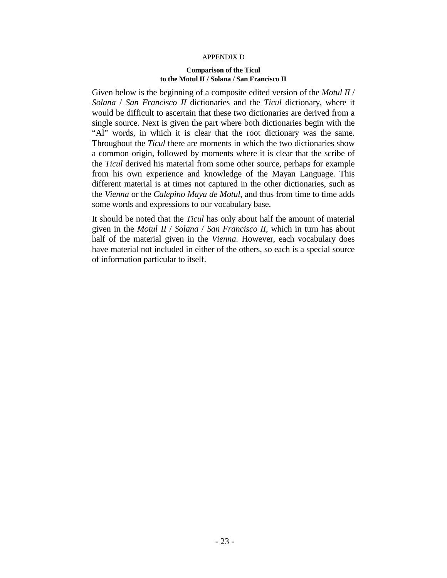## APPENDIX D

#### **Comparison of the Ticul to the Motul II / Solana / San Francisco II**

Given below is the beginning of a composite edited version of the *Motul II* / *Solana* / *San Francisco II* dictionaries and the *Ticul* dictionary, where it would be difficult to ascertain that these two dictionaries are derived from a single source. Next is given the part where both dictionaries begin with the "Al" words, in which it is clear that the root dictionary was the same. Throughout the *Ticul* there are moments in which the two dictionaries show a common origin, followed by moments where it is clear that the scribe of the *Ticul* derived his material from some other source, perhaps for example from his own experience and knowledge of the Mayan Language. This different material is at times not captured in the other dictionaries, such as the *Vienna* or the *Calepino Maya de Motul*, and thus from time to time adds some words and expressions to our vocabulary base.

It should be noted that the *Ticul* has only about half the amount of material given in the *Motul II* / *Solana* / *San Francisco II*, which in turn has about half of the material given in the *Vienna*. However, each vocabulary does have material not included in either of the others, so each is a special source of information particular to itself.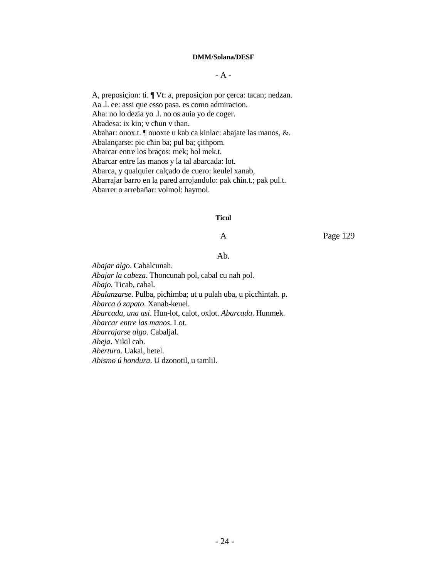#### **DMM/Solana/DESF**

## $-A -$

A, preposiçion: ti. ¶ Vt: a, preposiçion por çerca: tacan; nedzan. Aa .l. ee: assi que esso pasa. es como admiracion. Aha: no lo dezia yo .l. no os auia yo de coger. Abadesa: ix kin; v cħun v than. Abahar: ouox.t. ¶ ouoxte u kab ca kinlac: abajate las manos, &. Abalançarse: pic cħin ba; pul ba; çithpom. Abarcar entre los braços: mek; hol mek.t. Abarcar entre las manos y la tal abarcada: lot. Abarca, y qualquier calçado de cuero: keulel xanab, Abarrajar barro en la pared arrojandolo: pak cħin.t.; pak pul.t. Abarrer o arrebañar: volmol: haymol.

#### **Ticul**

A Page 129

## Ab.

*Abajar algo*. Cabalcunah. *Abajar la cabeza*. Thoncunah pol, cabal cu nah pol. *Abajo*. Ticab, cabal. *Abalanzarse*. Pulba, picħimba; ut u pulah uba, u piccħintah. p. *Abarca ó zapato*. Xanab-keuel. *Abarcada, una asi*. Hun-lot, calot, oxlot. *Abarcada*. Hunmek. *Abarcar entre las manos*. Lot. *Abarrajarse algo*. Cabaljal. *Abeja*. Yikil cab. *Abertura*. Uakal, hetel. *Abismo ú hondura*. U dzonotil, u tamlil.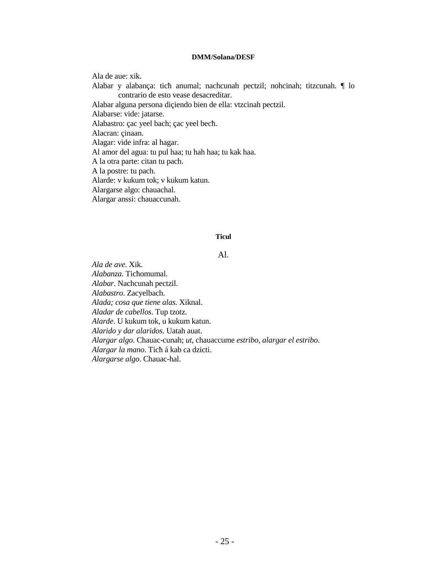## **DMM/Solana/DESF**

Ala de aue: xik. Alabar y alabança: ticħ anumal; nachcunah pectzil; nohcinah; titzcunah. ¶ lo contrario de esto vease desacreditar. Alabar alguna persona diçiendo bien de ella: vtzcinah pectzil. Alabarse: vide: jatarse. Alabastro: çac yeel bach; çac yeel becħ. Alacran: çinaan. Alagar: vide infra: al hagar. Al amor del agua: tu pul haa; tu hah haa; tu kak haa. A la otra parte: citan tu pach. A la postre: tu pach. Alarde: v kukum tok; v kukum katun. Alargarse algo: chauachal. Alargar anssi: chauaccunah.

## **Ticul**

## Al.

*Ala de ave*. Xik. *Alabanza*. Ticħomumal. *Alabar*. Nachcunah pectzil. *Alabastro*. Zacyelbach. *Alada; cosa que tiene alas*. Xiknal. *Aladar de cabellos*. Tup tzotz. *Alarde*. U kukum tok, u kukum katun. *Alarido y dar alaridos*. Uatah auat. *Alargar algo*. Chauac-cunah; *ut*, chauaccume *estribo*, *alargar el estribo*. *Alargar la mano*. Ticħ á kab ca dzicti. *Alargarse algo*. Chauac-hal.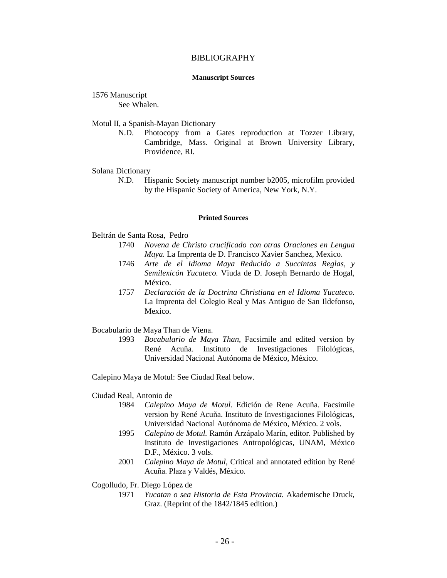### BIBLIOGRAPHY

#### **Manuscript Sources**

## 1576 Manuscript

See Whalen.

Motul II, a Spanish-Mayan Dictionary

 N.D. Photocopy from a Gates reproduction at Tozzer Library, Cambridge, Mass. Original at Brown University Library, Providence, RI.

#### Solana Dictionary

 N.D. Hispanic Society manuscript number b2005, microfilm provided by the Hispanic Society of America, New York, N.Y.

#### **Printed Sources**

Beltrán de Santa Rosa, Pedro

- 1740 *Novena de Christo crucificado con otras Oraciones en Lengua Maya.* La Imprenta de D. Francisco Xavier Sanchez, Mexico.
- 1746 *Arte de el Idioma Maya Reducido a Succintas Reglas, y Semilexicón Yucateco.* Viuda de D. Joseph Bernardo de Hogal, México.
- 1757 *Declaración de la Doctrina Christiana en el Idioma Yucateco.* La Imprenta del Colegio Real y Mas Antiguo de San Ildefonso, Mexico.

Bocabulario de Maya Than de Viena.

 1993 *Bocabulario de Maya Than*, Facsimile and edited version by René Acuña. Instituto de Investigaciones Filológicas, Universidad Nacional Autónoma de México, México.

Calepino Maya de Motul: See Ciudad Real below.

Ciudad Real, Antonio de

- 1984 *Calepino Maya de Motul*. Edición de Rene Acuña. Facsimile version by René Acuña. Instituto de Investigaciones Filológicas, Universidad Nacional Autónoma de México, México. 2 vols.
- 1995 *Calepino de Motul.* Ramón Arzápalo Marín, editor. Published by Instituto de Investigaciones Antropológicas, UNAM, México D.F., México. 3 vols.
- 2001 *Calepino Maya de Motul*, Critical and annotated edition by René Acuña. Plaza y Valdés, México.

Cogolludo, Fr. Diego López de

 1971 *Yucatan o sea Historia de Esta Provincia.* Akademische Druck, Graz. (Reprint of the 1842/1845 edition.)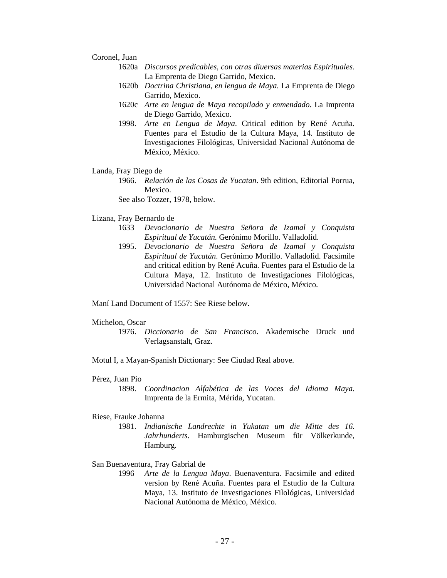#### Coronel, Juan

- 1620a *Discursos predicables, con otras diuersas materias Espirituales.* La Emprenta de Diego Garrido, Mexico.
- 1620b *Doctrina Christiana, en lengua de Maya.* La Emprenta de Diego Garrido, Mexico.
- 1620c *Arte en lengua de Maya recopilado y enmendado*. La Imprenta de Diego Garrido, Mexico.
- 1998. *Arte en Lengua de Maya*. Critical edition by René Acuña. Fuentes para el Estudio de la Cultura Maya, 14. Instituto de Investigaciones Filológicas, Universidad Nacional Autónoma de México, México.

#### Landa, Fray Diego de

 1966. *Relación de las Cosas de Yucatan*. 9th edition, Editorial Porrua, Mexico.

See also Tozzer, 1978, below.

#### Lizana, Fray Bernardo de

- 1633 *Devocionario de Nuestra Señora de Izamal y Conquista Espiritual de Yucatán.* Gerónimo Morillo. Valladolid.
- 1995. *Devocionario de Nuestra Señora de Izamal y Conquista Espiritual de Yucatán*. Gerónimo Morillo. Valladolid. Facsimile and critical edition by René Acuña. Fuentes para el Estudio de la Cultura Maya, 12. Instituto de Investigaciones Filológicas, Universidad Nacional Autónoma de México, México.

Maní Land Document of 1557: See Riese below.

#### Michelon, Oscar

- 1976. *Diccionario de San Francisco*. Akademische Druck und Verlagsanstalt, Graz.
- Motul I, a Mayan-Spanish Dictionary: See Ciudad Real above.

### Pérez, Juan Pío

 1898. *Coordinacion Alfabética de las Voces del Idioma Maya*. Imprenta de la Ermita, Mérida, Yucatan.

#### Riese, Frauke Johanna

 1981. *Indianische Landrechte in Yukatan um die Mitte des 16. Jahrhunderts*. Hamburgischen Museum für Völkerkunde, Hamburg.

#### San Buenaventura, Fray Gabrial de

 1996 *Arte de la Lengua Maya*. Buenaventura. Facsimile and edited version by René Acuña. Fuentes para el Estudio de la Cultura Maya, 13. Instituto de Investigaciones Filológicas, Universidad Nacional Autónoma de México, México.